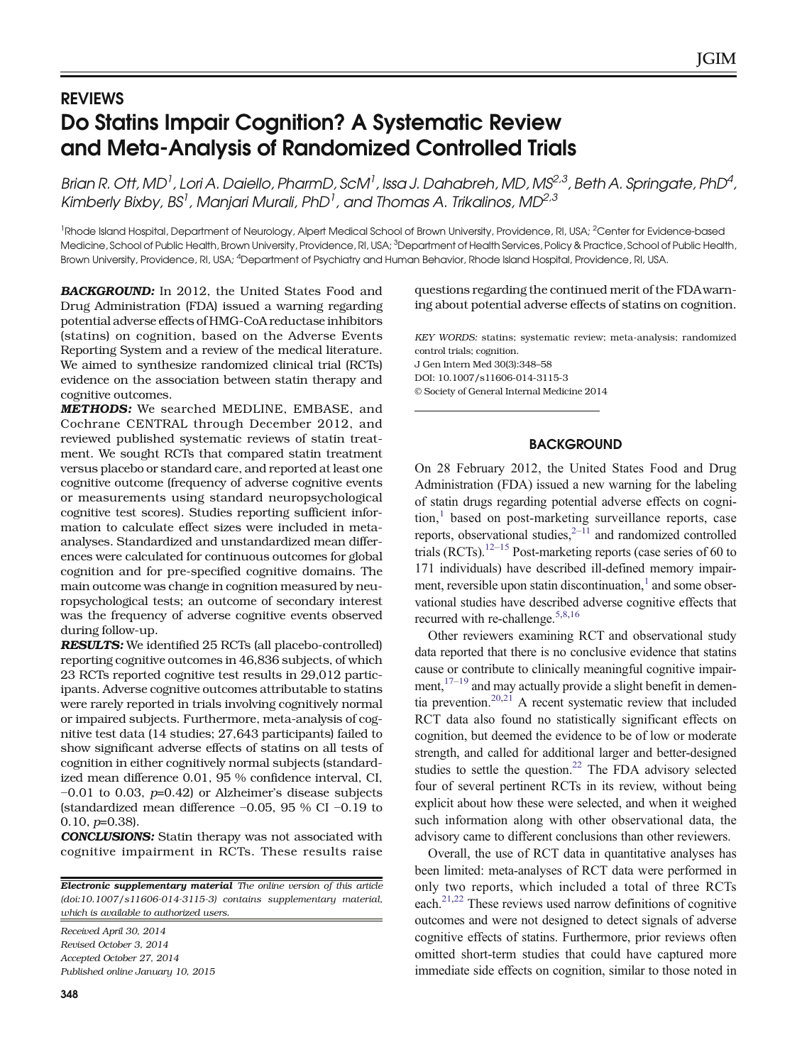# REVIEWS Do Statins Impair Cognition? A Systematic Review and Meta-Analysis of Randomized Controlled Trials

Brian R. Ott, MD<sup>1</sup> , Lori A. Daiello, PharmD, ScM<sup>1</sup> , Issa J. Dahabreh, MD, MS<sup>2,3</sup> , Beth A. Springate, PhD<sup>4</sup>, Kimberly Bixby, BS<sup>1</sup>, Manjari Murali, PhD<sup>1</sup>, and Thomas A. Trikalinos, MD<sup>2,3</sup>

<sup>1</sup>Rhode Island Hospital, Department of Neurology, Alpert Medical School of Brown University, Providence, RI, USA; <sup>2</sup>Center for Evidence-based Medicine, School of Public Health, Brown University, Providence, RI, USA; <sup>3</sup>Department of Health Services, Policy & Practice, School of Public Health, Brown University, Providence, RI, USA; <sup>4</sup>Department of Psychiatry and Human Behavior, Rhode Island Hospital, Providence, RI, USA.

BACKGROUND: In 2012, the United States Food and Drug Administration (FDA) issued a warning regarding potential adverse effects of HMG-CoA reductase inhibitors (statins) on cognition, based on the Adverse Events Reporting System and a review of the medical literature. We aimed to synthesize randomized clinical trial (RCTs) evidence on the association between statin therapy and cognitive outcomes.

METHODS: We searched MEDLINE, EMBASE, and Cochrane CENTRAL through December 2012, and reviewed published systematic reviews of statin treatment. We sought RCTs that compared statin treatment versus placebo or standard care, and reported at least one cognitive outcome (frequency of adverse cognitive events or measurements using standard neuropsychological cognitive test scores). Studies reporting sufficient information to calculate effect sizes were included in metaanalyses. Standardized and unstandardized mean differences were calculated for continuous outcomes for global cognition and for pre-specified cognitive domains. The main outcome was change in cognition measured by neuropsychological tests; an outcome of secondary interest was the frequency of adverse cognitive events observed during follow-up.

RESULTS: We identified 25 RCTs (all placebo-controlled) reporting cognitive outcomes in 46,836 subjects, of which 23 RCTs reported cognitive test results in 29,012 participants. Adverse cognitive outcomes attributable to statins were rarely reported in trials involving cognitively normal or impaired subjects. Furthermore, meta-analysis of cognitive test data (14 studies; 27,643 participants) failed to show significant adverse effects of statins on all tests of cognition in either cognitively normal subjects (standardized mean difference 0.01, 95 % confidence interval, CI, −0.01 to 0.03, p=0.42) or Alzheimer's disease subjects (standardized mean difference −0.05, 95 % CI −0.19 to  $0.10, p=0.38$ .

CONCLUSIONS: Statin therapy was not associated with cognitive impairment in RCTs. These results raise

Electronic supplementary material The online version of this article (doi:[10.1007/s11606-014-3115-3\)](http://dx.doi.org/10.1007/s11606-014-3115-3) contains supplementary material, which is available to authorized users.

Received April 30, 2014 Revised October 3, 2014 Accepted October 27, 2014 Published online January 10, 2015 questions regarding the continued merit of the FDAwarning about potential adverse effects of statins on cognition.

KEY WORDS: statins; systematic review; meta-analysis; randomized control trials; cognition. J Gen Intern Med 30(3):348–58 DOI: 10.1007/s11606-014-3115-3 © Society of General Internal Medicine 2014

## **BACKGROUND**

On 28 February 2012, the United States Food and Drug Administration (FDA) issued a new warning for the labeling of statin drugs regarding potential adverse effects on cogni- $\text{tion}$ , based on post-marketing surveillance reports, case reports, observational studies, $2-11$  $2-11$  $2-11$  and randomized controlled trials (RCTs).<sup>12–[15](#page-9-0)</sup> Post-marketing reports (case series of 60 to 171 individuals) have described ill-defined memory impairment, reversible upon statin discontinuation, $<sup>1</sup>$  and some obser-</sup> vational studies have described adverse cognitive effects that recurred with re-challenge.<sup>5,[8](#page-8-0)[,16](#page-9-0)</sup>

Other reviewers examining RCT and observational study data reported that there is no conclusive evidence that statins cause or contribute to clinically meaningful cognitive impairment,  $17-19$  $17-19$  $17-19$  and may actually provide a slight benefit in demen-tia prevention.<sup>[20](#page-9-0),[21](#page-9-0)</sup> A recent systematic review that included RCT data also found no statistically significant effects on cognition, but deemed the evidence to be of low or moderate strength, and called for additional larger and better-designed studies to settle the question.<sup>22</sup> The FDA advisory selected four of several pertinent RCTs in its review, without being explicit about how these were selected, and when it weighed such information along with other observational data, the advisory came to different conclusions than other reviewers.

Overall, the use of RCT data in quantitative analyses has been limited: meta-analyses of RCT data were performed in only two reports, which included a total of three RCTs each.<sup>21,22</sup> These reviews used narrow definitions of cognitive outcomes and were not designed to detect signals of adverse cognitive effects of statins. Furthermore, prior reviews often omitted short-term studies that could have captured more immediate side effects on cognition, similar to those noted in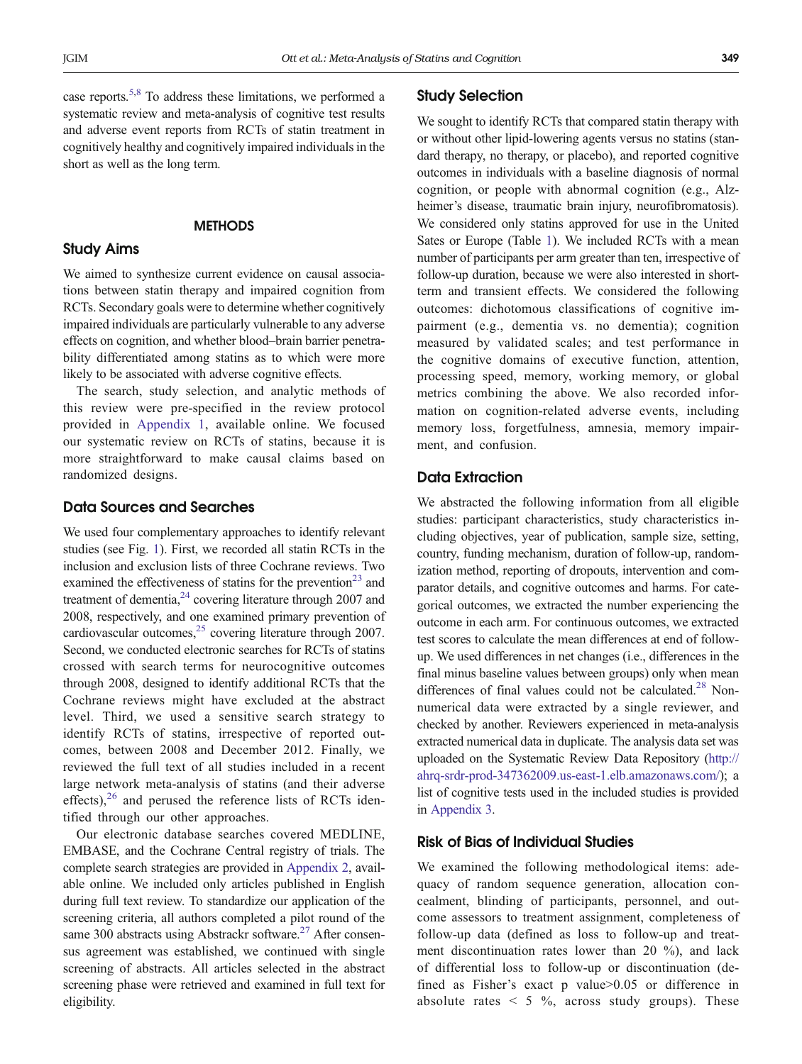case reports.[5,8](#page-8-0) To address these limitations, we performed a systematic review and meta-analysis of cognitive test results and adverse event reports from RCTs of statin treatment in cognitively healthy and cognitively impaired individuals in the short as well as the long term.

## **METHODS**

## Study Aims

We aimed to synthesize current evidence on causal associations between statin therapy and impaired cognition from RCTs. Secondary goals were to determine whether cognitively impaired individuals are particularly vulnerable to any adverse effects on cognition, and whether blood–brain barrier penetrability differentiated among statins as to which were more likely to be associated with adverse cognitive effects.

The search, study selection, and analytic methods of this review were pre-specified in the review protocol provided in Appendix 1, available online. We focused our systematic review on RCTs of statins, because it is more straightforward to make causal claims based on randomized designs.

## Data Sources and Searches

We used four complementary approaches to identify relevant studies (see Fig. [1\)](#page-2-0). First, we recorded all statin RCTs in the inclusion and exclusion lists of three Cochrane reviews. Two examined the effectiveness of statins for the prevention<sup>[23](#page-9-0)</sup> and treatment of dementia, $^{24}$  covering literature through 2007 and 2008, respectively, and one examined primary prevention of cardiovascular outcomes, $25$  covering literature through 2007. Second, we conducted electronic searches for RCTs of statins crossed with search terms for neurocognitive outcomes through 2008, designed to identify additional RCTs that the Cochrane reviews might have excluded at the abstract level. Third, we used a sensitive search strategy to identify RCTs of statins, irrespective of reported outcomes, between 2008 and December 2012. Finally, we reviewed the full text of all studies included in a recent large network meta-analysis of statins (and their adverse effects), $^{26}$  $^{26}$  $^{26}$  and perused the reference lists of RCTs identified through our other approaches.

Our electronic database searches covered MEDLINE, EMBASE, and the Cochrane Central registry of trials. The complete search strategies are provided in Appendix 2, available online. We included only articles published in English during full text review. To standardize our application of the screening criteria, all authors completed a pilot round of the same 300 abstracts using Abstrackr software.<sup>[27](#page-9-0)</sup> After consensus agreement was established, we continued with single screening of abstracts. All articles selected in the abstract screening phase were retrieved and examined in full text for eligibility.

## Study Selection

We sought to identify RCTs that compared statin therapy with or without other lipid-lowering agents versus no statins (standard therapy, no therapy, or placebo), and reported cognitive outcomes in individuals with a baseline diagnosis of normal cognition, or people with abnormal cognition (e.g., Alzheimer's disease, traumatic brain injury, neurofibromatosis). We considered only statins approved for use in the United Sates or Europe (Table [1](#page-2-0)). We included RCTs with a mean number of participants per arm greater than ten, irrespective of follow-up duration, because we were also interested in shortterm and transient effects. We considered the following outcomes: dichotomous classifications of cognitive impairment (e.g., dementia vs. no dementia); cognition measured by validated scales; and test performance in the cognitive domains of executive function, attention, processing speed, memory, working memory, or global metrics combining the above. We also recorded information on cognition-related adverse events, including memory loss, forgetfulness, amnesia, memory impairment, and confusion.

# Data Extraction

We abstracted the following information from all eligible studies: participant characteristics, study characteristics including objectives, year of publication, sample size, setting, country, funding mechanism, duration of follow-up, randomization method, reporting of dropouts, intervention and comparator details, and cognitive outcomes and harms. For categorical outcomes, we extracted the number experiencing the outcome in each arm. For continuous outcomes, we extracted test scores to calculate the mean differences at end of followup. We used differences in net changes (i.e., differences in the final minus baseline values between groups) only when mean differences of final values could not be calculated.<sup>28</sup> Nonnumerical data were extracted by a single reviewer, and checked by another. Reviewers experienced in meta-analysis extracted numerical data in duplicate. The analysis data set was uploaded on the Systematic Review Data Repository [\(http://](http://ahrq-srdr-prod-347362009.us-east-1.elb.amazonaws.com/) [ahrq-srdr-prod-347362009.us-east-1.elb.amazonaws.com/\)](http://ahrq-srdr-prod-347362009.us-east-1.elb.amazonaws.com/); a list of cognitive tests used in the included studies is provided in Appendix 3.

## Risk of Bias of Individual Studies

We examined the following methodological items: adequacy of random sequence generation, allocation concealment, blinding of participants, personnel, and outcome assessors to treatment assignment, completeness of follow-up data (defined as loss to follow-up and treatment discontinuation rates lower than 20 %), and lack of differential loss to follow-up or discontinuation (defined as Fisher's exact p value>0.05 or difference in absolute rates  $\lt$  5 %, across study groups). These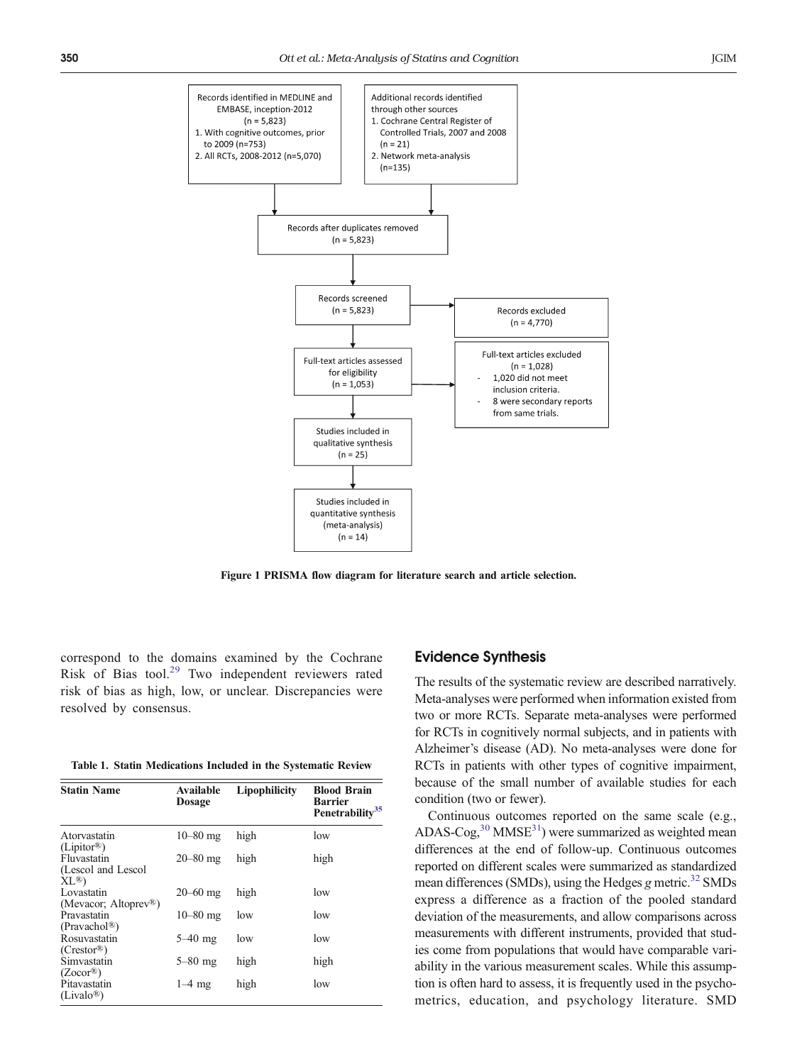<span id="page-2-0"></span>

Figure 1 PRISMA flow diagram for literature search and article selection.

correspond to the domains examined by the Cochrane Risk of Bias tool.[29](#page-9-0) Two independent reviewers rated risk of bias as high, low, or unclear. Discrepancies were resolved by consensus.

Table 1. Statin Medications Included in the Systematic Review

| <b>Statin Name</b>                                                            | Available<br><b>Dosage</b> | Lipophilicity | <b>Blood Brain</b><br>Barrier<br>Penetrability <sup>35</sup> |
|-------------------------------------------------------------------------------|----------------------------|---------------|--------------------------------------------------------------|
| Atorvastatin<br>$(Lipitor^{\otimes})$                                         | $10 - 80$ mg               | high          | low                                                          |
| Fluvastatin<br>(Lescol and Lescol<br>$XL^{\circledR})$                        | $20 - 80$ mg               | high          | high                                                         |
| Lovastatin                                                                    | $20 - 60$ mg               | high          | low                                                          |
| (Mevacor; Altoprev <sup>®</sup> )<br>Pravastatin<br>$(Pravachol^{\circledR})$ | $10 - 80$ mg               | low           | low                                                          |
| Rosuvastatin                                                                  | $5 - 40$ mg                | low           | low                                                          |
| $(Crestor^{\mathcal{B}})$<br>Simvastatin<br>$(Zocor^{\mathcal{B}})$           | $5 - 80$ mg                | high          | high                                                         |
| Pitavastatin<br>(Livalo <sup>(8)</sup> )                                      | $1-4$ mg                   | high          | low                                                          |

## Evidence Synthesis

The results of the systematic review are described narratively. Meta-analyses were performed when information existed from two or more RCTs. Separate meta-analyses were performed for RCTs in cognitively normal subjects, and in patients with Alzheimer's disease (AD). No meta-analyses were done for RCTs in patients with other types of cognitive impairment, because of the small number of available studies for each condition (two or fewer).

Continuous outcomes reported on the same scale (e.g., ADAS-Cog, $30$  MMSE $31$ ) were summarized as weighted mean differences at the end of follow-up. Continuous outcomes reported on different scales were summarized as standardized mean differences (SMDs), using the Hedges g metric.<sup>[32](#page-9-0)</sup> SMDs express a difference as a fraction of the pooled standard deviation of the measurements, and allow comparisons across measurements with different instruments, provided that studies come from populations that would have comparable variability in the various measurement scales. While this assumption is often hard to assess, it is frequently used in the psychometrics, education, and psychology literature. SMD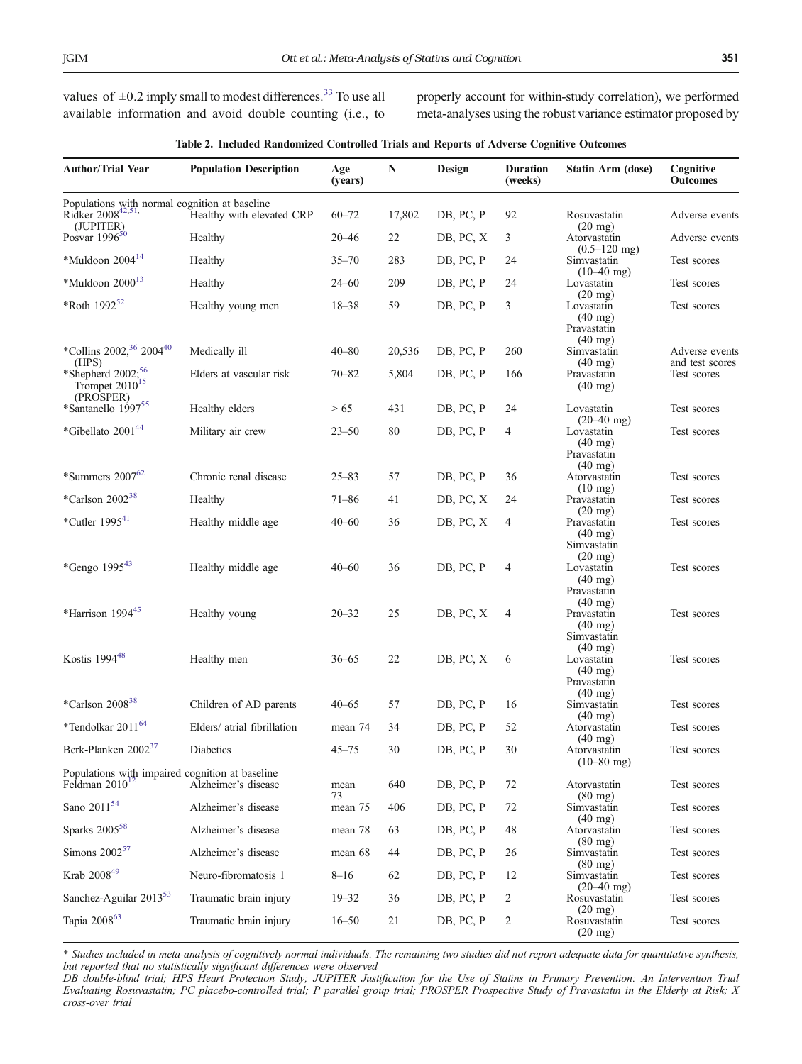<span id="page-3-0"></span>values of  $\pm 0.2$  imply small to modest differences.<sup>33</sup> To use all available information and avoid double counting (i.e., to

properly account for within-study correlation), we performed meta-analyses using the robust variance estimator proposed by

| <b>Author/Trial Year</b>                                                                           | <b>Population Description</b> | Age<br>(years) | N      | Design    | <b>Duration</b><br>(weeks) | Statin Arm (dose)                                      | Cognitive<br><b>Outcomes</b>   |
|----------------------------------------------------------------------------------------------------|-------------------------------|----------------|--------|-----------|----------------------------|--------------------------------------------------------|--------------------------------|
| Populations with normal cognition at baseline<br>Ridker 2008 <sup>42,51</sup> , Healthy with eleva |                               |                |        |           |                            |                                                        |                                |
| (JUPITER)                                                                                          | Healthy with elevated CRP     | $60 - 72$      | 17,802 | DB, PC, P | 92                         | Rosuvastatin<br>$(20 \text{ mg})$                      | Adverse events                 |
| Posvar $1996^{50}$                                                                                 | Healthy                       | $20 - 46$      | 22     | DB, PC, X | 3                          | Atorvastatin<br>$(0.5-120$ mg)                         | Adverse events                 |
| *Muldoon $200414$                                                                                  | Healthy                       | $35 - 70$      | 283    | DB, PC, P | 24                         | Simvastatin<br>$(10-40)$ mg)                           | Test scores                    |
| *Muldoon 2000 <sup>13</sup>                                                                        | Healthy                       | $24 - 60$      | 209    | DB, PC, P | 24                         | Lovastatin                                             | Test scores                    |
| *Roth 1992 <sup>52</sup>                                                                           | Healthy young men             | $18 - 38$      | 59     | DB, PC, P | 3                          | $(20 \text{ mg})$<br>Lovastatin                        | Test scores                    |
|                                                                                                    |                               |                |        |           |                            | $(40 \text{ mg})$<br>Pravastatin                       |                                |
| *Collins 2002, <sup>36</sup> 2004 <sup>40</sup>                                                    | Medically ill                 | $40 - 80$      | 20,536 | DB, PC, P | 260                        | $(40 \text{ mg})$<br>Simvastatin                       | Adverse events                 |
| (HPS)<br>*Shepherd 2002; <sup>56</sup>                                                             | Elders at vascular risk       | $70 - 82$      | 5,804  | DB, PC, P | 166                        | $(40 \text{ mg})$<br>Pravastatin                       | and test scores<br>Test scores |
| Trompet $2010^{15}$<br>(PROSPER)                                                                   |                               |                |        |           |                            | $(40 \text{ mg})$                                      |                                |
| *Santanello 1997 <sup>55</sup>                                                                     | Healthy elders                | > 65           | 431    | DB, PC, P | 24                         | Lovastatin<br>$(20-40)$ mg)                            | Test scores                    |
| *Gibellato 2001 <sup>44</sup>                                                                      | Military air crew             | $23 - 50$      | 80     | DB, PC, P | $\overline{4}$             | Lovastatin                                             | Test scores                    |
|                                                                                                    |                               |                |        |           |                            | $(40 \text{ mg})$<br>Pravastatin                       |                                |
| $*$ Summers 2007 <sup>62</sup>                                                                     | Chronic renal disease         | $25 - 83$      | 57     | DB, PC, P | 36                         | $(40 \text{ mg})$<br>Atorvastatin                      | Test scores                    |
|                                                                                                    |                               |                |        |           |                            | $(10 \text{ mg})$                                      |                                |
| *Carlson $2002^{38}$                                                                               | Healthy                       | $71 - 86$      | 41     | DB, PC, X | 24                         | Pravastatin<br>$(20 \text{ mg})$                       | Test scores                    |
| *Cutler $199541$                                                                                   | Healthy middle age            | $40 - 60$      | 36     | DB, PC, X | $\overline{4}$             | Pravastatin<br>$(40 \text{ mg})$                       | Test scores                    |
|                                                                                                    |                               |                |        |           |                            | Simvastatin                                            |                                |
| *Gengo $1995^{43}$                                                                                 | Healthy middle age            | $40 - 60$      | 36     | DB, PC, P | 4                          | $(20 \text{ mg})$<br>Lovastatin                        | Test scores                    |
|                                                                                                    |                               |                |        |           |                            | $(40 \text{ mg})$<br>Pravastatin                       |                                |
|                                                                                                    |                               |                |        |           |                            | $(40 \text{ mg})$                                      |                                |
| *Harrison 1994 <sup>45</sup>                                                                       | Healthy young                 | $20 - 32$      | 25     | DB, PC, X | $\overline{4}$             | Pravastatin<br>$(40 \text{ mg})$                       | Test scores                    |
|                                                                                                    |                               |                |        |           |                            | Simvastatin<br>$(40 \text{ mg})$                       |                                |
| Kostis 1994 <sup>48</sup>                                                                          | Healthy men                   | $36 - 65$      | 22     | DB, PC, X | 6                          | Lovastatin                                             | Test scores                    |
|                                                                                                    |                               |                |        |           |                            | $(40 \text{ mg})$<br>Pravastatin                       |                                |
| *Carlson $2008^{38}$                                                                               | Children of AD parents        | $40 - 65$      | 57     | DB, PC, P | 16                         | $(40 \text{ mg})$<br>Simvastatin                       | Test scores                    |
|                                                                                                    |                               |                |        |           |                            | $(40 \text{ mg})$                                      |                                |
| *Tendolkar 2011 <sup>64</sup>                                                                      | Elders/ atrial fibrillation   | mean 74        | 34     | DB, PC, P | 52                         | Atorvastatin<br>$(40 \text{ mg})$                      | Test scores                    |
| Berk-Planken 2002 <sup>37</sup>                                                                    | Diabetics                     | $45 - 75$      | 30     | DB, PC, P | 30                         | Atorvastatin<br>$(10 - 80$ mg)                         | Test scores                    |
| Populations with impaired cognition at baseline<br>Feldman $2010^{12}$                             |                               |                |        |           |                            |                                                        |                                |
|                                                                                                    | Alzheimer's disease           | mean<br>73     | 640    | DB, PC, P | 72                         | Atorvastatin<br>$(80 \text{ mg})$                      | Test scores                    |
| Sano 2011 <sup>54</sup>                                                                            | Alzheimer's disease           | mean 75        | 406    | DB, PC, P | 72                         | Simvastatin<br>$(40 \text{ mg})$                       | Test scores                    |
| Sparks 2005 <sup>58</sup>                                                                          | Alzheimer's disease           | mean 78        | 63     | DB, PC, P | 48                         | Atorvastatin<br>$(80 \text{ mg})$                      | Test scores                    |
| Simons $2002^{57}$                                                                                 | Alzheimer's disease           | mean 68        | 44     | DB, PC, P | 26                         | Simvastatin<br>$(80 \text{ mg})$                       | Test scores                    |
| Krab 2008 <sup>49</sup>                                                                            | Neuro-fibromatosis 1          | $8 - 16$       | 62     | DB, PC, P | 12                         | Simvastatin<br>$(20-40)$ mg)                           | Test scores                    |
| Sanchez-Aguilar 2013 <sup>53</sup>                                                                 | Traumatic brain injury        | $19 - 32$      | 36     | DB, PC, P | 2                          | Rosuvastatin                                           | Test scores                    |
| Tapia 2008 <sup>63</sup>                                                                           | Traumatic brain injury        | $16 - 50$      | 21     | DB, PC, P | 2                          | $(20 \text{ mg})$<br>Rosuvastatin<br>$(20 \text{ mg})$ | Test scores                    |

\* Studies included in meta-analysis of cognitively normal individuals. The remaining two studies did not report adequate data for quantitative synthesis, but reported that no statistically significant differences were observed

DB double-blind trial; HPS Heart Protection Study; JUPITER Justification for the Use of Statins in Primary Prevention: An Intervention Trial Evaluating Rosuvastatin; PC placebo-controlled trial; P parallel group trial; PROSPER Prospective Study of Pravastatin in the Elderly at Risk; X cross-over trial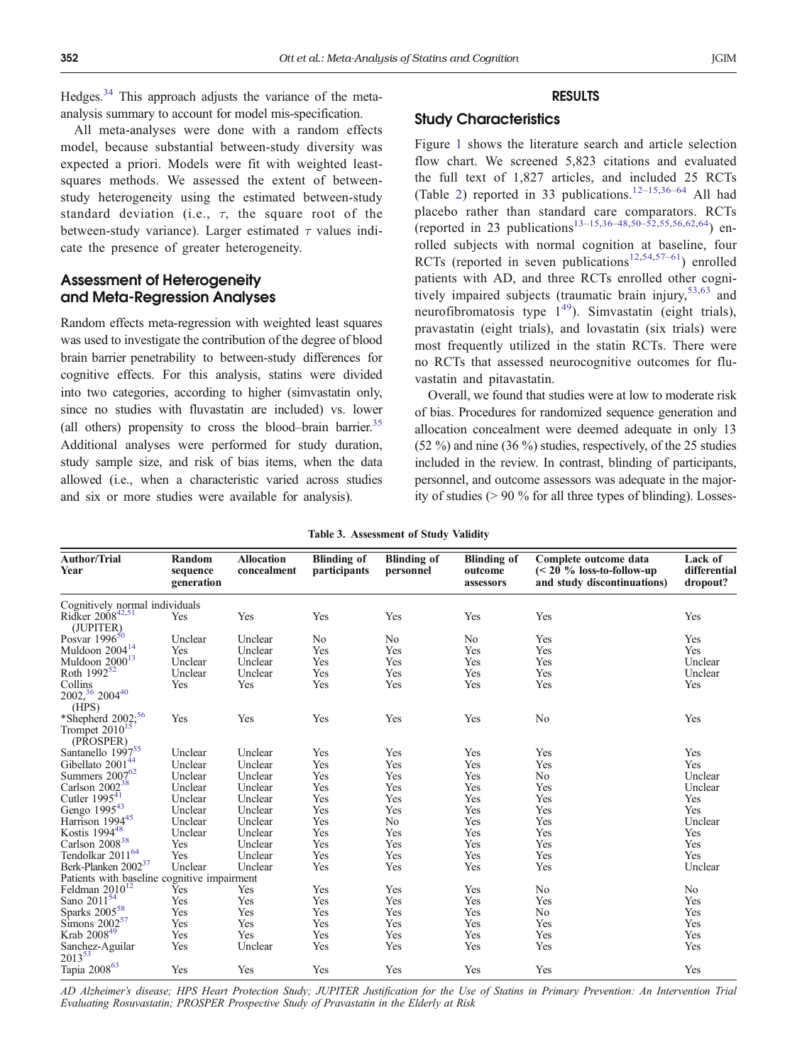<span id="page-4-0"></span>Hedges.[34](#page-9-0) This approach adjusts the variance of the metaanalysis summary to account for model mis-specification.

All meta-analyses were done with a random effects model, because substantial between-study diversity was expected a priori. Models were fit with weighted leastsquares methods. We assessed the extent of betweenstudy heterogeneity using the estimated between-study standard deviation (i.e.,  $\tau$ , the square root of the between-study variance). Larger estimated  $\tau$  values indicate the presence of greater heterogeneity.

## Assessment of Heterogeneity and Meta-Regression Analyses

Random effects meta-regression with weighted least squares was used to investigate the contribution of the degree of blood brain barrier penetrability to between-study differences for cognitive effects. For this analysis, statins were divided into two categories, according to higher (simvastatin only, since no studies with fluvastatin are included) vs. lower (all others) propensity to cross the blood–brain barrier.<sup>[35](#page-9-0)</sup> Additional analyses were performed for study duration, study sample size, and risk of bias items, when the data allowed (i.e., when a characteristic varied across studies and six or more studies were available for analysis).

## RESULTS

### Study Characteristics

Figure [1](#page-2-0) shows the literature search and article selection flow chart. We screened 5,823 citations and evaluated the full text of 1,827 articles, and included 25 RCTs (Table [2\)](#page-3-0) reported in 33 publications.<sup>[12](#page-9-0)–[15](#page-9-0),[36](#page-9-0)–[64](#page-10-0)</sup> All had placebo rather than standard care comparators. RCTs (reported in 23 publications<sup>[13](#page-9-0)–[15,36](#page-9-0)–[48,50](#page-9-0)–[52,55,](#page-9-0)56,62,64</sup>) enrolled subjects with normal cognition at baseline, four RCTs (reported in seven publications<sup>[12,54,](#page-9-0)[57](#page-10-0)-[61](#page-10-0)</sup>) enrolled patients with AD, and three RCTs enrolled other cognitively impaired subjects (traumatic brain injury,  $53,63$  $53,63$  and neurofibromatosis type  $1^{49}$ ). Simvastatin (eight trials), pravastatin (eight trials), and lovastatin (six trials) were most frequently utilized in the statin RCTs. There were no RCTs that assessed neurocognitive outcomes for fluvastatin and pitavastatin.

Overall, we found that studies were at low to moderate risk of bias. Procedures for randomized sequence generation and allocation concealment were deemed adequate in only 13 (52 %) and nine (36 %) studies, respectively, of the 25 studies included in the review. In contrast, blinding of participants, personnel, and outcome assessors was adequate in the majority of studies (> 90 % for all three types of blinding). Losses-

| <b>Author/Trial</b><br>Year                 | Random<br>sequence<br>generation | <b>Allocation</b><br>concealment | <b>Blinding of</b><br>participants | <b>Blinding of</b><br>personnel | <b>Blinding</b> of<br>outcome<br>assessors | Complete outcome data<br>$\leq$ 20 % loss-to-follow-up<br>and study discontinuations) | Lack of<br>differential<br>dropout? |
|---------------------------------------------|----------------------------------|----------------------------------|------------------------------------|---------------------------------|--------------------------------------------|---------------------------------------------------------------------------------------|-------------------------------------|
| Cognitively normal individuals              |                                  |                                  |                                    |                                 |                                            |                                                                                       |                                     |
| Ridker 200842,51<br>(JUPITER)               | Yes                              | Yes                              | Yes                                | Yes                             | Yes                                        | Yes                                                                                   | Yes                                 |
| Posvar $1996^{50}$                          | Unclear                          | Unclear                          | No                                 | No                              | No                                         | Yes                                                                                   | Yes                                 |
| Muldoon $2004^{14}$                         | Yes                              | Unclear                          | Yes                                | Yes                             | Yes                                        | Yes                                                                                   | Yes                                 |
|                                             | Unclear                          | Unclear                          | Yes                                | Yes                             | Yes                                        | Yes                                                                                   | Unclear                             |
| Muldoon $2000^{13}$<br>Roth $1992^{52}$     | Unclear                          | Unclear                          | Yes                                | Yes                             | Yes                                        | Yes                                                                                   | Unclear                             |
| Collins                                     | Yes                              | Yes                              | Yes                                | Yes                             | Yes                                        | Yes                                                                                   | Yes                                 |
| 2002, 36 200440<br>(HPS)                    |                                  |                                  |                                    |                                 |                                            |                                                                                       |                                     |
| *Shepherd 2002; <sup>56</sup>               | Yes                              | Yes                              | Yes                                | Yes                             | Yes                                        | No                                                                                    | Yes                                 |
| Trompet 2010 <sup>15</sup><br>(PROSPER)     |                                  |                                  |                                    |                                 |                                            |                                                                                       |                                     |
| Santanello 1997 <sup>55</sup>               | Unclear                          | Unclear                          | Yes                                | Yes                             | Yes                                        | Yes                                                                                   | Yes                                 |
| Gibellato $200144$                          | Unclear                          | Unclear                          | Yes                                | Yes                             | Yes                                        | Yes                                                                                   | Yes                                 |
| Summers $2007^{62}$                         | Unclear                          | Unclear                          | Yes                                | Yes                             | Yes                                        | No                                                                                    | Unclear                             |
| Carlson $2002^{38}$                         | Unclear                          | Unclear                          | Yes                                | Yes                             | Yes                                        | Yes                                                                                   | Unclear                             |
| Cutler $1995^{41}$                          | Unclear                          | Unclear                          | Yes                                | Yes                             | Yes                                        | Yes                                                                                   | Yes                                 |
| Gengo 1995 <sup>43</sup>                    | Unclear                          | Unclear                          | Yes                                | Yes                             | Yes                                        | Yes                                                                                   | Yes                                 |
| Harrison 1994 <sup>45</sup>                 | Unclear                          | Unclear                          | Yes                                | No                              | Yes                                        | Yes                                                                                   | Unclear                             |
| Kostis 1994 <sup>48</sup>                   | Unclear                          | Unclear                          | Yes                                | Yes                             | Yes                                        | Yes                                                                                   | Yes                                 |
| Carlson 2008 <sup>38</sup>                  | Yes                              | Unclear                          | Yes                                | Yes                             | Yes                                        | Yes                                                                                   | Yes                                 |
| Tendolkar 2011 <sup>64</sup>                | Yes                              | Unclear                          | Yes                                | Yes                             | Yes                                        | Yes                                                                                   | Yes                                 |
| Berk-Planken 2002 <sup>37</sup>             | Unclear                          | Unclear                          | Yes                                | Yes                             | Yes                                        | Yes                                                                                   | Unclear                             |
| Patients with baseline cognitive impairment |                                  |                                  |                                    |                                 |                                            |                                                                                       |                                     |
| Feldman $2010^{12}$                         | Yes                              | Yes                              | Yes                                | Yes                             | Yes                                        | No                                                                                    | No                                  |
| Sano $2011^{54}$                            | Yes                              | Yes                              | Yes                                | Yes                             | Yes                                        | Yes                                                                                   | Yes                                 |
| Sparks $2005^{58}$                          | Yes                              | Yes                              | Yes                                | Yes                             | Yes                                        | No                                                                                    | Yes                                 |
| Simons $2002^{57}$                          | Yes                              | Yes                              | Yes                                | Yes                             | Yes                                        | Yes                                                                                   | Yes                                 |
| Krab 2008 <sup>49</sup>                     | Yes                              | Yes                              | Yes                                | Yes                             | Yes                                        | Yes                                                                                   | Yes                                 |
| Sanchez-Aguilar<br>$2013^{53}$              | Yes                              | Unclear                          | Yes                                | Yes                             | Yes                                        | Yes                                                                                   | Yes                                 |
| Tapia 2008 <sup>63</sup>                    | Yes                              | Yes                              | Yes                                | Yes                             | Yes                                        | Yes                                                                                   | Yes                                 |

Table 3. Assessment of Study Validity

AD Alzheimer's disease; HPS Heart Protection Study; JUPITER Justification for the Use of Statins in Primary Prevention: An Intervention Trial Evaluating Rosuvastatin; PROSPER Prospective Study of Pravastatin in the Elderly at Risk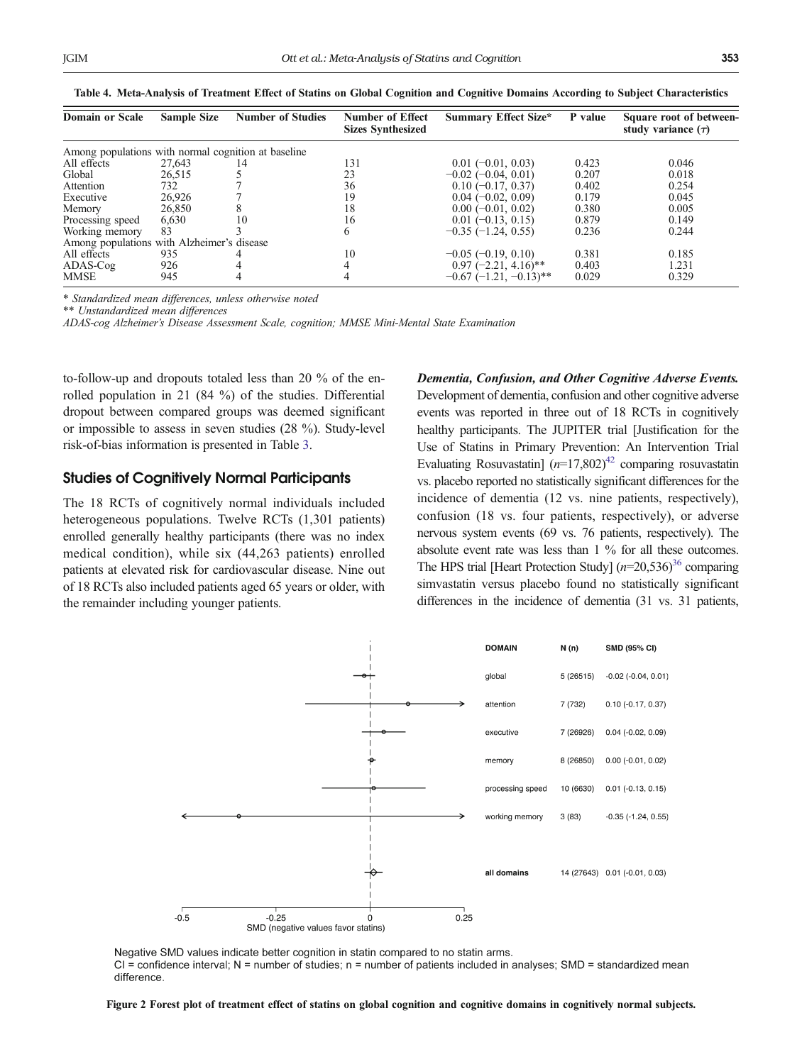| <b>Domain or Scale</b>                              | <b>Sample Size</b> | <b>Number of Studies</b> | <b>Number of Effect</b><br><b>Sizes Synthesized</b> | <b>Summary Effect Size*</b> | P value | Square root of between-<br>study variance $(\tau)$ |
|-----------------------------------------------------|--------------------|--------------------------|-----------------------------------------------------|-----------------------------|---------|----------------------------------------------------|
| Among populations with normal cognition at baseline |                    |                          |                                                     |                             |         |                                                    |
| All effects                                         | 27.643             | 14                       | 131                                                 | $0.01(-0.01, 0.03)$         | 0.423   | 0.046                                              |
| Global                                              | 26.515             |                          | 23                                                  | $-0.02$ ( $-0.04$ , 0.01)   | 0.207   | 0.018                                              |
| Attention                                           | 732                |                          | 36                                                  | $0.10(-0.17, 0.37)$         | 0.402   | 0.254                                              |
| Executive                                           | 26,926             |                          | 19                                                  | $0.04(-0.02, 0.09)$         | 0.179   | 0.045                                              |
| Memory                                              | 26,850             |                          | 18                                                  | $0.00(-0.01, 0.02)$         | 0.380   | 0.005                                              |
| Processing speed                                    | 6.630              | 10                       | 16                                                  | $0.01(-0.13, 0.15)$         | 0.879   | 0.149                                              |
| Working memory                                      | 83                 |                          | 6                                                   | $-0.35(-1.24, 0.55)$        | 0.236   | 0.244                                              |
| Among populations with Alzheimer's disease          |                    |                          |                                                     |                             |         |                                                    |
| All effects                                         | 935                | 4                        | 10                                                  | $-0.05$ ( $-0.19$ , 0.10)   | 0.381   | 0.185                                              |
| ADAS-Cog                                            | 926                |                          |                                                     | $0.97 (-2.21, 4.16)$ **     | 0.403   | 1.231                                              |
| MMSE                                                | 945                | 4                        |                                                     | $-0.67$ (-1.21, -0.13)**    | 0.029   | 0.329                                              |

<span id="page-5-0"></span>Table 4. Meta-Analysis of Treatment Effect of Statins on Global Cognition and Cognitive Domains According to Subject Characteristics

\* Standardized mean differences, unless otherwise noted

\*\* Unstandardized mean differences

ADAS-cog Alzheimer's Disease Assessment Scale, cognition; MMSE Mini-Mental State Examination

to-follow-up and dropouts totaled less than 20 % of the enrolled population in 21 (84 %) of the studies. Differential dropout between compared groups was deemed significant or impossible to assess in seven studies (28 %). Study-level risk-of-bias information is presented in Table [3.](#page-4-0)

## Studies of Cognitively Normal Participants

The 18 RCTs of cognitively normal individuals included heterogeneous populations. Twelve RCTs (1,301 patients) enrolled generally healthy participants (there was no index medical condition), while six (44,263 patients) enrolled patients at elevated risk for cardiovascular disease. Nine out of 18 RCTs also included patients aged 65 years or older, with the remainder including younger patients.

Dementia, Confusion, and Other Cognitive Adverse Events.

Development of dementia, confusion and other cognitive adverse events was reported in three out of 18 RCTs in cognitively healthy participants. The JUPITER trial [Justification for the Use of Statins in Primary Prevention: An Intervention Trial Evaluating Rosuvastatin]  $(n=17.802)^{42}$  comparing rosuvastatin vs. placebo reported no statistically significant differences for the incidence of dementia (12 vs. nine patients, respectively), confusion (18 vs. four patients, respectively), or adverse nervous system events (69 vs. 76 patients, respectively). The absolute event rate was less than 1 % for all these outcomes. The HPS trial [Heart Protection Study]  $(n=20,536)^{36}$  comparing simvastatin versus placebo found no statistically significant differences in the incidence of dementia (31 vs. 31 patients,



Negative SMD values indicate better cognition in statin compared to no statin arms.  $Cl =$  confidence interval; N = number of studies; n = number of patients included in analyses; SMD = standardized mean difference

Figure 2 Forest plot of treatment effect of statins on global cognition and cognitive domains in cognitively normal subjects.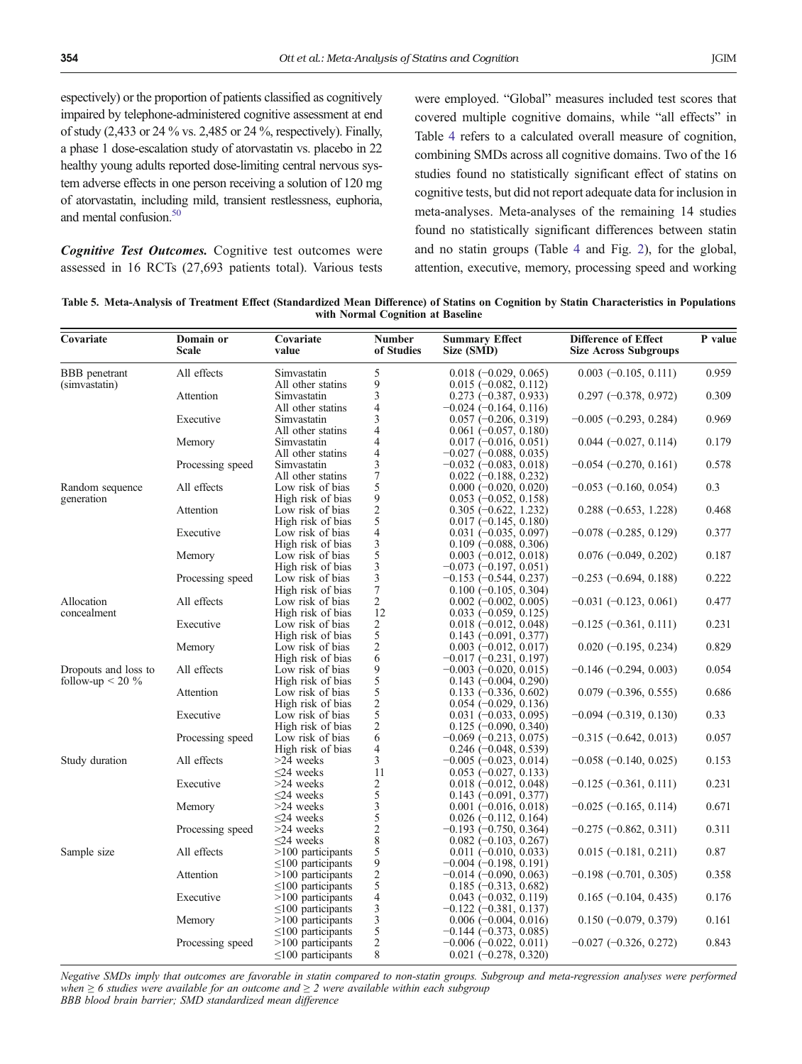<span id="page-6-0"></span>espectively) or the proportion of patients classified as cognitively impaired by telephone-administered cognitive assessment at end of study (2,433 or 24 % vs. 2,485 or 24 %, respectively). Finally, a phase 1 dose-escalation study of atorvastatin vs. placebo in 22 healthy young adults reported dose-limiting central nervous system adverse effects in one person receiving a solution of 120 mg of atorvastatin, including mild, transient restlessness, euphoria, and mental confusion.<sup>[50](#page-9-0)</sup>

Cognitive Test Outcomes. Cognitive test outcomes were assessed in 16 RCTs (27,693 patients total). Various tests were employed. "Global" measures included test scores that covered multiple cognitive domains, while "all effects" in Table [4](#page-5-0) refers to a calculated overall measure of cognition, combining SMDs across all cognitive domains. Two of the 16 studies found no statistically significant effect of statins on cognitive tests, but did not report adequate data for inclusion in meta-analyses. Meta-analyses of the remaining 14 studies found no statistically significant differences between statin and no statin groups (Table [4](#page-5-0) and Fig. [2\)](#page-5-0), for the global, attention, executive, memory, processing speed and working

Table 5. Meta-Analysis of Treatment Effect (Standardized Mean Difference) of Statins on Cognition by Statin Characteristics in Populations with Normal Cognition at Baseline

| Covariate                                   | Domain or<br><b>Scale</b> | Covariate<br>value                                    | <b>Number</b><br>of Studies                     | <b>Summary Effect</b><br>Size (SMD)                                             | <b>Difference of Effect</b><br><b>Size Across Subgroups</b> | P value |
|---------------------------------------------|---------------------------|-------------------------------------------------------|-------------------------------------------------|---------------------------------------------------------------------------------|-------------------------------------------------------------|---------|
| <b>BBB</b> penetrant                        | All effects               | Simvastatin                                           |                                                 | $0.018 (-0.029, 0.065)$                                                         | $0.003$ (-0.105, 0.111)                                     | 0.959   |
| (simvastatin)                               | Attention                 | All other statins<br>Simvastatin                      | $\begin{array}{c} 5 \\ 9 \\ 3 \end{array}$      | $0.015 (-0.082, 0.112)$<br>$0.273 (-0.387, 0.933)$                              | $0.297 (-0.378, 0.972)$                                     | 0.309   |
|                                             | Executive                 | All other statins<br>Simvastatin                      | $\overline{4}$<br>3                             | $-0.024(-0.164, 0.116)$<br>$0.057(-0.206, 0.319)$                               | $-0.005$ ( $-0.293$ , 0.284)                                | 0.969   |
|                                             | Memory                    | All other statins<br>Simvastatin<br>All other statins | $\overline{4}$<br>4<br>$\overline{\mathcal{A}}$ | $0.061(-0.057, 0.180)$<br>$0.017 (-0.016, 0.051)$                               | $0.044 (-0.027, 0.114)$                                     | 0.179   |
|                                             | Processing speed          | Simvastatin<br>All other statins                      | 3<br>$\overline{7}$                             | $-0.027(-0.088, 0.035)$<br>$-0.032$ $(-0.083, 0.018)$<br>$0.022(-0.188, 0.232)$ | $-0.054$ $(-0.270, 0.161)$                                  | 0.578   |
| Random sequence<br>generation               | All effects               | Low risk of bias<br>High risk of bias                 | 5                                               | $0.000 (-0.020, 0.020)$<br>$0.053 (-0.052, 0.158)$                              | $-0.053$ ( $-0.160, 0.054$ )                                | 0.3     |
|                                             | Attention                 | Low risk of bias<br>High risk of bias                 | $\frac{9}{2}$<br>5                              | $0.305 (-0.622, 1.232)$<br>$0.017(-0.145, 0.180)$                               | $0.288 (-0.653, 1.228)$                                     | 0.468   |
|                                             | Executive                 | Low risk of bias<br>High risk of bias                 | $\overline{\mathbf{4}}$<br>$\mathfrak{Z}$       | $0.031 (-0.035, 0.097)$<br>$0.109$ (-0.088, 0.306)                              | $-0.078$ ( $-0.285$ , 0.129)                                | 0.377   |
|                                             | Memory                    | Low risk of bias<br>High risk of bias                 | $\overline{5}$<br>3                             | $0.003$ (-0.012, 0.018)<br>$-0.073(-0.197, 0.051)$                              | $0.076 (-0.049, 0.202)$                                     | 0.187   |
|                                             | Processing speed          | Low risk of bias<br>High risk of bias                 | $\overline{\mathbf{3}}$<br>$\overline{7}$       | $-0.153(-0.544, 0.237)$<br>$0.100 (-0.105, 0.304)$                              | $-0.253$ $(-0.694, 0.188)$                                  | 0.222   |
| Allocation<br>concealment                   | All effects               | Low risk of bias<br>High risk of bias                 | $\mathbf{2}$<br>12                              | $0.002$ (-0.002, 0.005)<br>$0.033$ (-0.059, 0.125)                              | $-0.031$ ( $-0.123$ , 0.061)                                | 0.477   |
|                                             | Executive                 | Low risk of bias<br>High risk of bias                 | $rac{2}{5}$                                     | $0.018 (-0.012, 0.048)$<br>$0.143 (-0.091, 0.377)$                              | $-0.125$ ( $-0.361$ , 0.111)                                | 0.231   |
|                                             | Memory                    | Low risk of bias<br>High risk of bias                 | $\frac{2}{6}$                                   | $0.003$ (-0.012, 0.017)<br>$-0.017(-0.231, 0.197)$                              | $0.020 (-0.195, 0.234)$                                     | 0.829   |
| Dropouts and loss to<br>follow-up < 20 $\%$ | All effects               | Low risk of bias<br>High risk of bias                 | 9<br>5                                          | $-0.003$ ( $-0.020$ , 0.015)<br>$0.143 (-0.004, 0.290)$                         | $-0.146$ ( $-0.294$ , 0.003)                                | 0.054   |
|                                             | Attention                 | Low risk of bias<br>High risk of bias                 | $\overline{5}$                                  | $0.133(-0.336, 0.602)$<br>$0.054(-0.029, 0.136)$                                | $0.079 (-0.396, 0.555)$                                     | 0.686   |
|                                             | Executive                 | Low risk of bias<br>High risk of bias                 | $\frac{2}{5}$<br>$\overline{c}$                 | $0.031(-0.033, 0.095)$<br>$0.125(-0.090, 0.340)$                                | $-0.094 (-0.319, 0.130)$                                    | 0.33    |
|                                             | Processing speed          | Low risk of bias<br>High risk of bias                 | $\sqrt{6}$<br>$\overline{\mathcal{A}}$          | $-0.069(-0.213, 0.075)$<br>$0.246 (-0.048, 0.539)$                              | $-0.315$ ( $-0.642$ , 0.013)                                | 0.057   |
| Study duration                              | All effects               | $>24$ weeks<br>$\leq$ 24 weeks                        | 3<br>11                                         | $-0.005$ $(-0.023, 0.014)$<br>$0.053$ (-0.027, 0.133)                           | $-0.058$ ( $-0.140$ , 0.025)                                | 0.153   |
|                                             | Executive                 | $>24$ weeks<br>$\leq$ 24 weeks                        | $\sqrt{2}$<br>5                                 | $0.018 (-0.012, 0.048)$<br>$0.143 (-0.091, 0.377)$                              | $-0.125$ ( $-0.361$ , 0.111)                                | 0.231   |
|                                             | Memory                    | $>24$ weeks<br>$\leq$ 24 weeks                        | 3                                               | $0.001$ (-0.016, 0.018)<br>$0.026 (-0.112, 0.164)$                              | $-0.025$ ( $-0.165$ , 0.114)                                | 0.671   |
|                                             | Processing speed          | $>24$ weeks<br>$\leq$ 24 weeks                        | $\frac{5}{2}$<br>$\,$ $\,$                      | $-0.193 (-0.750, 0.364)$<br>$0.082(-0.103, 0.267)$                              | $-0.275$ ( $-0.862$ , 0.311)                                | 0.311   |
| Sample size                                 | All effects               | $>100$ participants<br>$\leq 100$ participants        | $\frac{5}{9}$                                   | $0.011$ (-0.010, 0.033)<br>$-0.004$ ( $-0.198$ , 0.191)                         | $0.015 (-0.181, 0.211)$                                     | 0.87    |
|                                             | Attention                 | $>100$ participants<br>$\leq 100$ participants        | $\overline{2}$<br>5                             | $-0.014$ ( $-0.090, 0.063$ )<br>$0.185 (-0.313, 0.682)$                         | $-0.198$ ( $-0.701$ , 0.305)                                | 0.358   |
|                                             | Executive                 | $>100$ participants<br>$\leq 100$ participants        | $\overline{\mathbf{4}}$<br>$\mathfrak{Z}$       | $0.043 (-0.032, 0.119)$<br>$-0.122(-0.381, 0.137)$                              | $0.165(-0.104, 0.435)$                                      | 0.176   |
|                                             | Memory                    | $>100$ participants<br>$\leq 100$ participants        | $\overline{\mathbf{3}}$<br>5                    | $0.006$ (-0.004, 0.016)<br>$-0.144 (-0.373, 0.085)$                             | $0.150 (-0.079, 0.379)$                                     | 0.161   |
|                                             | Processing speed          | $>100$ participants<br>$\leq 100$ participants        | $\overline{2}$<br>8                             | $-0.006(-0.022, 0.011)$<br>$0.021 (-0.278, 0.320)$                              | $-0.027(-0.326, 0.272)$                                     | 0.843   |

Negative SMDs imply that outcomes are favorable in statin compared to non-statin groups. Subgroup and meta-regression analyses were performed when  $\geq 6$  studies were available for an outcome and  $\geq 2$  were available within each subgroup BBB blood brain barrier; SMD standardized mean difference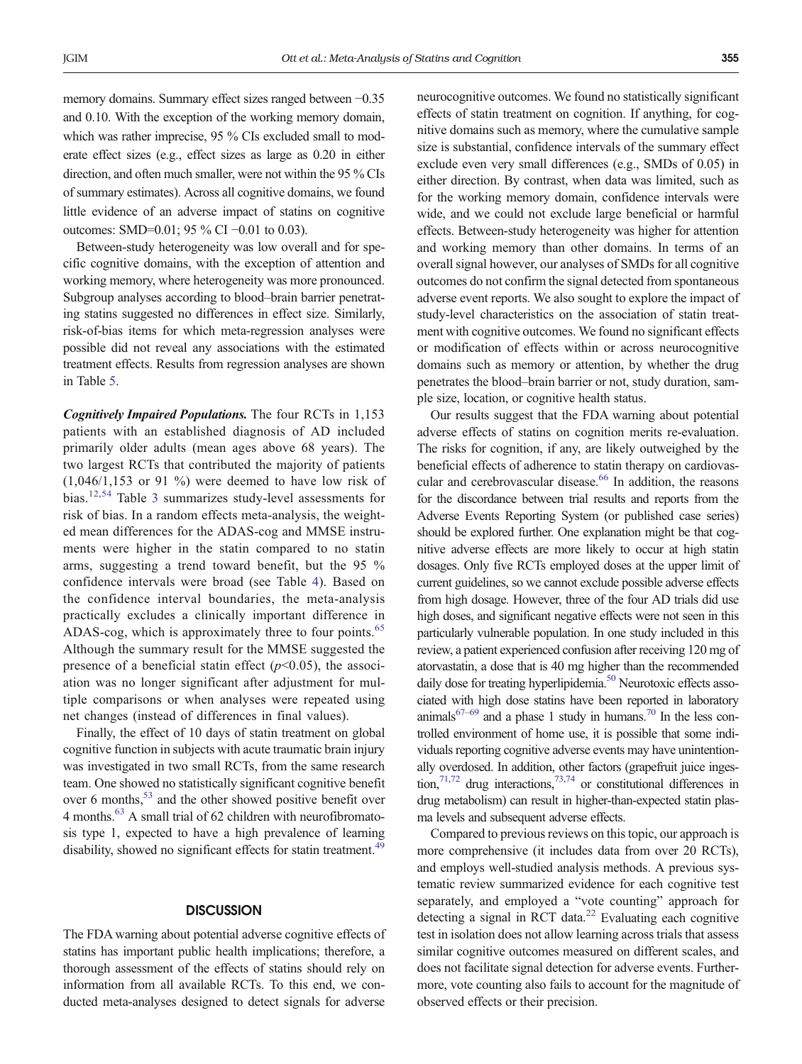memory domains. Summary effect sizes ranged between −0.35 and 0.10. With the exception of the working memory domain, which was rather imprecise, 95 % CIs excluded small to moderate effect sizes (e.g., effect sizes as large as 0.20 in either direction, and often much smaller, were not within the 95 % CIs of summary estimates). Across all cognitive domains, we found little evidence of an adverse impact of statins on cognitive outcomes: SMD=0.01; 95 % CI −0.01 to 0.03).

Between-study heterogeneity was low overall and for specific cognitive domains, with the exception of attention and working memory, where heterogeneity was more pronounced. Subgroup analyses according to blood–brain barrier penetrating statins suggested no differences in effect size. Similarly, risk-of-bias items for which meta-regression analyses were possible did not reveal any associations with the estimated treatment effects. Results from regression analyses are shown in Table [5.](#page-6-0)

Cognitively Impaired Populations. The four RCTs in 1,153 patients with an established diagnosis of AD included primarily older adults (mean ages above 68 years). The two largest RCTs that contributed the majority of patients  $(1,046/1,153$  or 91 %) were deemed to have low risk of bias.[12,54](#page-9-0) Table [3](#page-4-0) summarizes study-level assessments for risk of bias. In a random effects meta-analysis, the weighted mean differences for the ADAS-cog and MMSE instruments were higher in the statin compared to no statin arms, suggesting a trend toward benefit, but the 95 % confidence intervals were broad (see Table [4\)](#page-5-0). Based on the confidence interval boundaries, the meta-analysis practically excludes a clinically important difference in ADAS-cog, which is approximately three to four points.<sup>65</sup> Although the summary result for the MMSE suggested the presence of a beneficial statin effect  $(p<0.05)$ , the association was no longer significant after adjustment for multiple comparisons or when analyses were repeated using net changes (instead of differences in final values).

Finally, the effect of 10 days of statin treatment on global cognitive function in subjects with acute traumatic brain injury was investigated in two small RCTs, from the same research team. One showed no statistically significant cognitive benefit over 6 months,<sup>53</sup> and the other showed positive benefit over 4 months[.63](#page-10-0) A small trial of 62 children with neurofibromatosis type 1, expected to have a high prevalence of learning disability, showed no significant effects for statin treatment.<sup>4</sup>

#### **DISCUSSION**

The FDA warning about potential adverse cognitive effects of statins has important public health implications; therefore, a thorough assessment of the effects of statins should rely on information from all available RCTs. To this end, we conducted meta-analyses designed to detect signals for adverse

neurocognitive outcomes. We found no statistically significant effects of statin treatment on cognition. If anything, for cognitive domains such as memory, where the cumulative sample size is substantial, confidence intervals of the summary effect exclude even very small differences (e.g., SMDs of 0.05) in either direction. By contrast, when data was limited, such as for the working memory domain, confidence intervals were wide, and we could not exclude large beneficial or harmful effects. Between-study heterogeneity was higher for attention and working memory than other domains. In terms of an overall signal however, our analyses of SMDs for all cognitive outcomes do not confirm the signal detected from spontaneous adverse event reports. We also sought to explore the impact of study-level characteristics on the association of statin treatment with cognitive outcomes. We found no significant effects or modification of effects within or across neurocognitive domains such as memory or attention, by whether the drug penetrates the blood–brain barrier or not, study duration, sample size, location, or cognitive health status.

Our results suggest that the FDA warning about potential adverse effects of statins on cognition merits re-evaluation. The risks for cognition, if any, are likely outweighed by the beneficial effects of adherence to statin therapy on cardiovas-cular and cerebrovascular disease.<sup>[66](#page-10-0)</sup> In addition, the reasons for the discordance between trial results and reports from the Adverse Events Reporting System (or published case series) should be explored further. One explanation might be that cognitive adverse effects are more likely to occur at high statin dosages. Only five RCTs employed doses at the upper limit of current guidelines, so we cannot exclude possible adverse effects from high dosage. However, three of the four AD trials did use high doses, and significant negative effects were not seen in this particularly vulnerable population. In one study included in this review, a patient experienced confusion after receiving 120 mg of atorvastatin, a dose that is 40 mg higher than the recommended daily dose for treating hyperlipidemia.<sup>50</sup> Neurotoxic effects associated with high dose statins have been reported in laboratory animals<sup>67–[69](#page-10-0)</sup> and a phase 1 study in humans.<sup>70</sup> In the less controlled environment of home use, it is possible that some individuals reporting cognitive adverse events may have unintentionally overdosed. In addition, other factors (grapefruit juice ingestion,  $71,72$  drug interactions,  $73,74$  or constitutional differences in drug metabolism) can result in higher-than-expected statin plasma levels and subsequent adverse effects.

Compared to previous reviews on this topic, our approach is more comprehensive (it includes data from over 20 RCTs), and employs well-studied analysis methods. A previous systematic review summarized evidence for each cognitive test separately, and employed a "vote counting" approach for detecting a signal in RCT data. $^{22}$  Evaluating each cognitive test in isolation does not allow learning across trials that assess similar cognitive outcomes measured on different scales, and does not facilitate signal detection for adverse events. Furthermore, vote counting also fails to account for the magnitude of observed effects or their precision.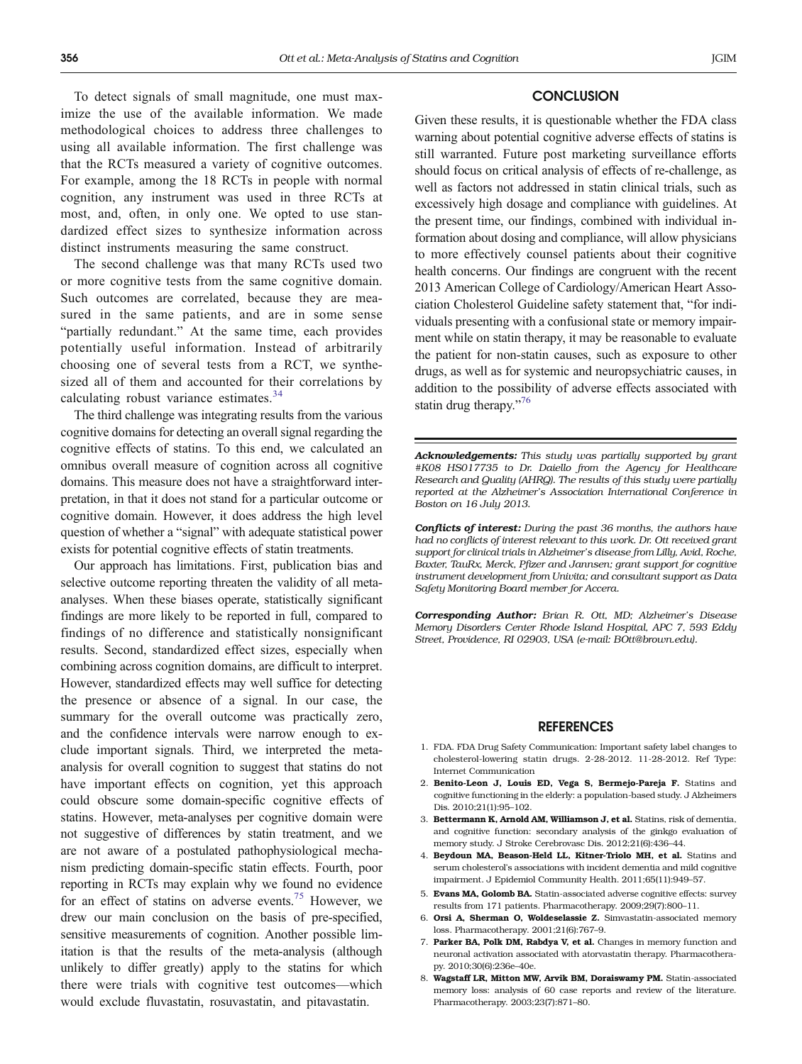#### **CONCLUSION**

<span id="page-8-0"></span>To detect signals of small magnitude, one must maximize the use of the available information. We made methodological choices to address three challenges to using all available information. The first challenge was that the RCTs measured a variety of cognitive outcomes. For example, among the 18 RCTs in people with normal cognition, any instrument was used in three RCTs at most, and, often, in only one. We opted to use standardized effect sizes to synthesize information across distinct instruments measuring the same construct.

The second challenge was that many RCTs used two or more cognitive tests from the same cognitive domain. Such outcomes are correlated, because they are measured in the same patients, and are in some sense "partially redundant." At the same time, each provides potentially useful information. Instead of arbitrarily choosing one of several tests from a RCT, we synthesized all of them and accounted for their correlations by calculating robust variance estimates.[34](#page-9-0)

The third challenge was integrating results from the various cognitive domains for detecting an overall signal regarding the cognitive effects of statins. To this end, we calculated an omnibus overall measure of cognition across all cognitive domains. This measure does not have a straightforward interpretation, in that it does not stand for a particular outcome or cognitive domain. However, it does address the high level question of whether a "signal" with adequate statistical power exists for potential cognitive effects of statin treatments.

Our approach has limitations. First, publication bias and selective outcome reporting threaten the validity of all metaanalyses. When these biases operate, statistically significant findings are more likely to be reported in full, compared to findings of no difference and statistically nonsignificant results. Second, standardized effect sizes, especially when combining across cognition domains, are difficult to interpret. However, standardized effects may well suffice for detecting the presence or absence of a signal. In our case, the summary for the overall outcome was practically zero, and the confidence intervals were narrow enough to exclude important signals. Third, we interpreted the metaanalysis for overall cognition to suggest that statins do not have important effects on cognition, yet this approach could obscure some domain-specific cognitive effects of statins. However, meta-analyses per cognitive domain were not suggestive of differences by statin treatment, and we are not aware of a postulated pathophysiological mechanism predicting domain-specific statin effects. Fourth, poor reporting in RCTs may explain why we found no evidence for an effect of statins on adverse events.<sup>75</sup> However, we drew our main conclusion on the basis of pre-specified, sensitive measurements of cognition. Another possible limitation is that the results of the meta-analysis (although unlikely to differ greatly) apply to the statins for which there were trials with cognitive test outcomes—which would exclude fluvastatin, rosuvastatin, and pitavastatin.

Given these results, it is questionable whether the FDA class warning about potential cognitive adverse effects of statins is still warranted. Future post marketing surveillance efforts should focus on critical analysis of effects of re-challenge, as well as factors not addressed in statin clinical trials, such as excessively high dosage and compliance with guidelines. At the present time, our findings, combined with individual information about dosing and compliance, will allow physicians to more effectively counsel patients about their cognitive health concerns. Our findings are congruent with the recent 2013 American College of Cardiology/American Heart Association Cholesterol Guideline safety statement that, "for individuals presenting with a confusional state or memory impairment while on statin therapy, it may be reasonable to evaluate the patient for non-statin causes, such as exposure to other drugs, as well as for systemic and neuropsychiatric causes, in addition to the possibility of adverse effects associated with statin drug therapy."<sup>[76](#page-10-0)</sup>

Acknowledgements: This study was partially supported by grant #K08 HS017735 to Dr. Daiello from the Agency for Healthcare Research and Quality (AHRQ). The results of this study were partially reported at the Alzheimer's Association International Conference in Boston on 16 July 2013.

Conflicts of interest: During the past 36 months, the authors have had no conflicts of interest relevant to this work. Dr. Ott received grant support for clinical trials in Alzheimer's disease from Lilly, Avid, Roche, Baxter, TauRx, Merck, Pfizer and Jannsen; grant support for cognitive instrument development from Univita; and consultant support as Data Safety Monitoring Board member for Accera.

Corresponding Author: Brian R. Ott, MD; Alzheimer's Disease Memory Disorders Center Rhode Island Hospital, APC 7, 593 Eddy Street, Providence, RI 02903, USA (e-mail: BOtt@brown.edu).

#### **REFERENCES**

- 1. FDA. FDA Drug Safety Communication: Important safety label changes to cholesterol-lowering statin drugs. 2-28-2012. 11-28-2012. Ref Type: Internet Communication
- 2. Benito-Leon J, Louis ED, Vega S, Bermejo-Pareja F. Statins and cognitive functioning in the elderly: a population-based study. J Alzheimers Dis. 2010;21(1):95–102.
- 3. Bettermann K, Arnold AM, Williamson J, et al. Statins, risk of dementia, and cognitive function: secondary analysis of the ginkgo evaluation of memory study. J Stroke Cerebrovasc Dis. 2012;21(6):436–44.
- 4. Beydoun MA, Beason-Held LL, Kitner-Triolo MH, et al. Statins and serum cholesterol's associations with incident dementia and mild cognitive impairment. J Epidemiol Community Health. 2011;65(11):949–57.
- 5. Evans MA, Golomb BA. Statin-associated adverse cognitive effects: survey results from 171 patients. Pharmacotherapy. 2009;29(7):800–11.
- 6. Orsi A, Sherman O, Woldeselassie Z. Simvastatin-associated memory loss. Pharmacotherapy. 2001;21(6):767–9.
- 7. Parker BA, Polk DM, Rabdya V, et al. Changes in memory function and neuronal activation associated with atorvastatin therapy. Pharmacotherapy. 2010;30(6):236e–40e.
- 8. Wagstaff LR, Mitton MW, Arvik BM, Doraiswamy PM. Statin-associated memory loss: analysis of 60 case reports and review of the literature. Pharmacotherapy. 2003;23(7):871–80.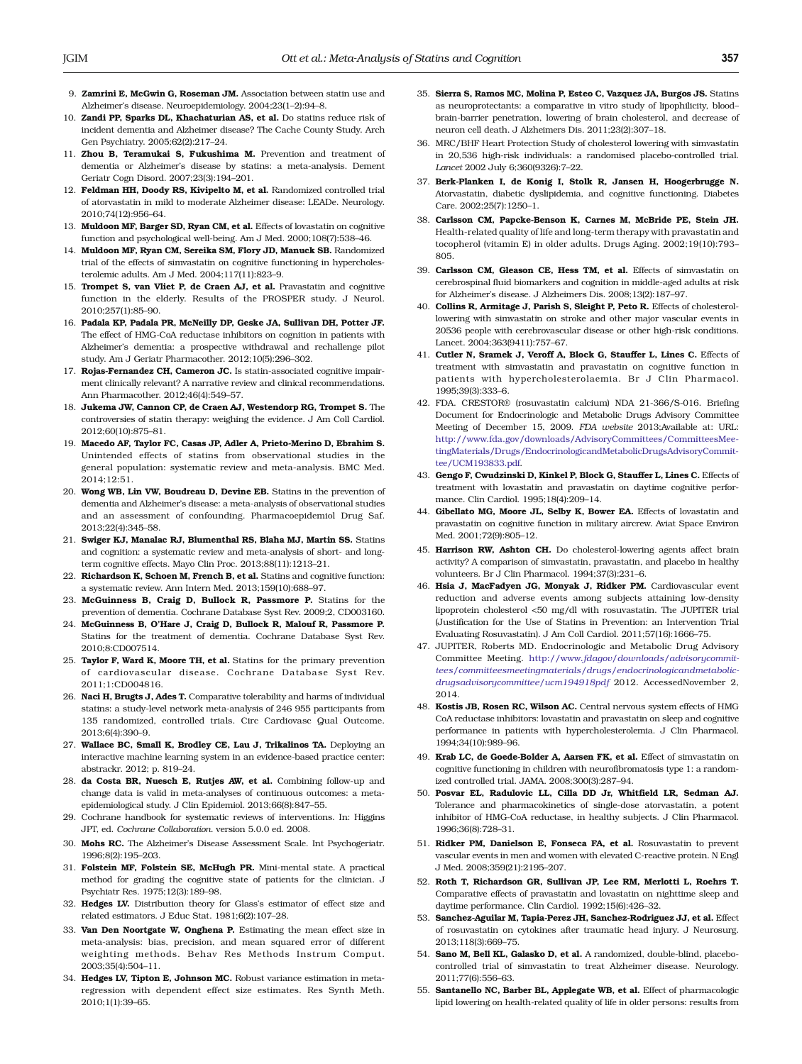- <span id="page-9-0"></span>9. Zamrini E, McGwin G, Roseman JM. Association between statin use and Alzheimer's disease. Neuroepidemiology. 2004;23(1–2):94–8.
- 10. Zandi PP, Sparks DL, Khachaturian AS, et al. Do statins reduce risk of incident dementia and Alzheimer disease? The Cache County Study. Arch Gen Psychiatry. 2005;62(2):217–24.
- 11. Zhou B, Teramukai S, Fukushima M. Prevention and treatment of dementia or Alzheimer's disease by statins: a meta-analysis. Dement Geriatr Cogn Disord. 2007;23(3):194–201.
- 12. Feldman HH, Doody RS, Kivipelto M, et al. Randomized controlled trial of atorvastatin in mild to moderate Alzheimer disease: LEADe. Neurology. 2010;74(12):956–64.
- 13. Muldoon MF, Barger SD, Ryan CM, et al. Effects of lovastatin on cognitive function and psychological well-being. Am J Med. 2000;108(7):538–46.
- 14. Muldoon MF, Ryan CM, Sereika SM, Flory JD, Manuck SB. Randomized trial of the effects of simvastatin on cognitive functioning in hypercholesterolemic adults. Am J Med. 2004;117(11):823–9.
- 15. Trompet S, van Vliet P, de Craen AJ, et al. Pravastatin and cognitive function in the elderly. Results of the PROSPER study. J Neurol. 2010;257(1):85–90.
- 16. Padala KP, Padala PR, McNeilly DP, Geske JA, Sullivan DH, Potter JF. The effect of HMG-CoA reductase inhibitors on cognition in patients with Alzheimer's dementia: a prospective withdrawal and rechallenge pilot study. Am J Geriatr Pharmacother. 2012;10(5):296–302.
- 17. Rojas-Fernandez CH, Cameron JC. Is statin-associated cognitive impairment clinically relevant? A narrative review and clinical recommendations. Ann Pharmacother. 2012;46(4):549–57.
- 18. Jukema JW, Cannon CP, de Craen AJ, Westendorp RG, Trompet S. The controversies of statin therapy: weighing the evidence. J Am Coll Cardiol. 2012;60(10):875–81.
- 19. Macedo AF, Taylor FC, Casas JP, Adler A, Prieto-Merino D, Ebrahim S. Unintended effects of statins from observational studies in the general population: systematic review and meta-analysis. BMC Med. 2014;12:51.
- 20. Wong WB, Lin VW, Boudreau D, Devine EB. Statins in the prevention of dementia and Alzheimer's disease: a meta-analysis of observational studies and an assessment of confounding. Pharmacoepidemiol Drug Saf. 2013;22(4):345–58.
- 21. Swiger KJ, Manalac RJ, Blumenthal RS, Blaha MJ, Martin SS. Statins and cognition: a systematic review and meta-analysis of short- and longterm cognitive effects. Mayo Clin Proc. 2013;88(11):1213–21.
- 22. Richardson K, Schoen M, French B, et al. Statins and cognitive function: a systematic review. Ann Intern Med. 2013;159(10):688–97.
- 23. McGuinness B, Craig D, Bullock R, Passmore P. Statins for the prevention of dementia. Cochrane Database Syst Rev. 2009;2, CD003160.
- 24. McGuinness B, O'Hare J, Craig D, Bullock R, Malouf R, Passmore P. Statins for the treatment of dementia. Cochrane Database Syst Rev. 2010;8:CD007514.
- 25. Taylor F. Ward K. Moore TH, et al. Statins for the primary prevention of cardiovascular disease. Cochrane Database Syst Rev. 2011;1:CD004816.
- 26. Naci H, Brugts J, Ades T. Comparative tolerability and harms of individual statins: a study-level network meta-analysis of 246 955 participants from 135 randomized, controlled trials. Circ Cardiovasc Qual Outcome. 2013;6(4):390–9.
- 27. Wallace BC, Small K, Brodley CE, Lau J, Trikalinos TA. Deploying an interactive machine learning system in an evidence-based practice center: abstrackr. 2012; p. 819–24.
- 28. da Costa BR, Nuesch E, Rutjes AW, et al. Combining follow-up and change data is valid in meta-analyses of continuous outcomes: a metaepidemiological study. J Clin Epidemiol. 2013;66(8):847–55.
- 29. Cochrane handbook for systematic reviews of interventions. In: Higgins JPT, ed. Cochrane Collaboration. version 5.0.0 ed. 2008.
- 30. Mohs RC. The Alzheimer's Disease Assessment Scale. Int Psychogeriatr. 1996;8(2):195–203.
- 31. Folstein MF, Folstein SE, McHugh PR. Mini-mental state. A practical method for grading the cognitive state of patients for the clinician. J Psychiatr Res. 1975;12(3):189–98.
- 32. Hedges LV. Distribution theory for Glass's estimator of effect size and related estimators. J Educ Stat. 1981;6(2):107–28.
- 33. Van Den Noortgate W, Onghena P. Estimating the mean effect size in meta-analysis: bias, precision, and mean squared error of different weighting methods. Behav Res Methods Instrum Comput. 2003;35(4):504–11.
- 34. Hedges LV, Tipton E, Johnson MC. Robust variance estimation in metaregression with dependent effect size estimates. Res Synth Meth. 2010;1(1):39–65.
- 35. Sierra S, Ramos MC, Molina P, Esteo C, Vazquez JA, Burgos JS. Statins as neuroprotectants: a comparative in vitro study of lipophilicity, blood– brain-barrier penetration, lowering of brain cholesterol, and decrease of neuron cell death. J Alzheimers Dis. 2011;23(2):307–18.
- 36. MRC/BHF Heart Protection Study of cholesterol lowering with simvastatin in 20,536 high-risk individuals: a randomised placebo-controlled trial. Lancet 2002 July 6;360(9326):7–22.
- 37. Berk-Planken I, de Konig I, Stolk R, Jansen H, Hoogerbrugge N. Atorvastatin, diabetic dyslipidemia, and cognitive functioning. Diabetes Care. 2002;25(7):1250–1.
- 38. Carlsson CM, Papcke-Benson K, Carnes M, McBride PE, Stein JH. Health-related quality of life and long-term therapy with pravastatin and tocopherol (vitamin E) in older adults. Drugs Aging. 2002;19(10):793– 805.
- 39. Carlsson CM, Gleason CE, Hess TM, et al. Effects of simvastatin on cerebrospinal fluid biomarkers and cognition in middle-aged adults at risk for Alzheimer's disease. J Alzheimers Dis. 2008;13(2):187–97.
- 40. Collins R, Armitage J, Parish S, Sleight P, Peto R. Effects of cholesterollowering with simvastatin on stroke and other major vascular events in 20536 people with cerebrovascular disease or other high-risk conditions. Lancet. 2004;363(9411):757–67.
- 41. Cutler N, Sramek J, Veroff A, Block G, Stauffer L, Lines C. Effects of treatment with simvastatin and pravastatin on cognitive function in patients with hypercholesterolaemia. Br J Clin Pharmacol. 1995;39(3):333–6.
- 42. FDA. CRESTOR® (rosuvastatin calcium) NDA 21-366/S-016. Briefing Document for Endocrinologic and Metabolic Drugs Advisory Committee Meeting of December 15, 2009. FDA website 2013;Available at: URL: [http://www.fda.gov/downloads/AdvisoryCommittees/CommitteesMee](http://www.fda.gov/downloads/AdvisoryCommittees/CommitteesMeetingMaterials/Drugs/EndocrinologicandMetabolicDrugsAdvisoryCommittee/UCM193833.pdf)[tingMaterials/Drugs/EndocrinologicandMetabolicDrugsAdvisoryCommit](http://www.fda.gov/downloads/AdvisoryCommittees/CommitteesMeetingMaterials/Drugs/EndocrinologicandMetabolicDrugsAdvisoryCommittee/UCM193833.pdf)[tee/UCM193833.pdf](http://www.fda.gov/downloads/AdvisoryCommittees/CommitteesMeetingMaterials/Drugs/EndocrinologicandMetabolicDrugsAdvisoryCommittee/UCM193833.pdf).
- 43. Gengo F, Cwudzinski D, Kinkel P, Block G, Stauffer L, Lines C. Effects of treatment with lovastatin and pravastatin on daytime cognitive performance. Clin Cardiol. 1995;18(4):209–14.
- 44. Gibellato MG, Moore JL, Selby K, Bower EA. Effects of lovastatin and pravastatin on cognitive function in military aircrew. Aviat Space Environ Med. 2001;72(9):805–12.
- 45. Harrison RW, Ashton CH. Do cholesterol-lowering agents affect brain activity? A comparison of simvastatin, pravastatin, and placebo in healthy volunteers. Br J Clin Pharmacol. 1994;37(3):231–6.
- 46. Hsia J, MacFadyen JG, Monyak J, Ridker PM. Cardiovascular event reduction and adverse events among subjects attaining low-density lipoprotein cholesterol <50 mg/dl with rosuvastatin. The JUPITER trial (Justification for the Use of Statins in Prevention: an Intervention Trial Evaluating Rosuvastatin). J Am Coll Cardiol. 2011;57(16):1666–75.
- 47. JUPITER, Roberts MD. Endocrinologic and Metabolic Drug Advisory Committee Meeting. http://www.[fdagov/downloads/advisorycommit](http://www.fdagov/downloads/advisorycommittees/committeesmeetingmaterials/drugs/endocrinologicandmetabolicdrugsadvisorycommittee/ucm194918pdf)[tees/committeesmeetingmaterials/drugs/endocrinologicandmetabolic](http://www.fdagov/downloads/advisorycommittees/committeesmeetingmaterials/drugs/endocrinologicandmetabolicdrugsadvisorycommittee/ucm194918pdf)[drugsadvisorycommittee/ucm194918pdf](http://www.fdagov/downloads/advisorycommittees/committeesmeetingmaterials/drugs/endocrinologicandmetabolicdrugsadvisorycommittee/ucm194918pdf) 2012. AccessedNovember 2, 2014.
- 48. Kostis JB, Rosen RC, Wilson AC. Central nervous system effects of HMG CoA reductase inhibitors: lovastatin and pravastatin on sleep and cognitive performance in patients with hypercholesterolemia. J Clin Pharmacol. 1994;34(10):989–96.
- 49. Krab LC, de Goede-Bolder A, Aarsen FK, et al. Effect of simvastatin on cognitive functioning in children with neurofibromatosis type 1: a randomized controlled trial. JAMA. 2008;300(3):287–94.
- 50. Posvar EL, Radulovic LL, Cilla DD Jr, Whitfield LR, Sedman AJ. Tolerance and pharmacokinetics of single-dose atorvastatin, a potent inhibitor of HMG-CoA reductase, in healthy subjects. J Clin Pharmacol. 1996;36(8):728–31.
- 51. Ridker PM, Danielson E, Fonseca FA, et al. Rosuvastatin to prevent vascular events in men and women with elevated C-reactive protein. N Engl J Med. 2008;359(21):2195–207.
- 52. Roth T, Richardson GR, Sullivan JP, Lee RM, Merlotti L, Roehrs T. Comparative effects of pravastatin and lovastatin on nighttime sleep and daytime performance. Clin Cardiol. 1992;15(6):426–32.
- 53. Sanchez-Aguilar M, Tapia-Perez JH, Sanchez-Rodriguez JJ, et al. Effect of rosuvastatin on cytokines after traumatic head injury. J Neurosurg. 2013;118(3):669–75.
- 54. Sano M, Bell KL, Galasko D, et al. A randomized, double-blind, placebocontrolled trial of simvastatin to treat Alzheimer disease. Neurology. 2011;77(6):556–63.
- 55. Santanello NC, Barber BL, Applegate WB, et al. Effect of pharmacologic lipid lowering on health-related quality of life in older persons: results from